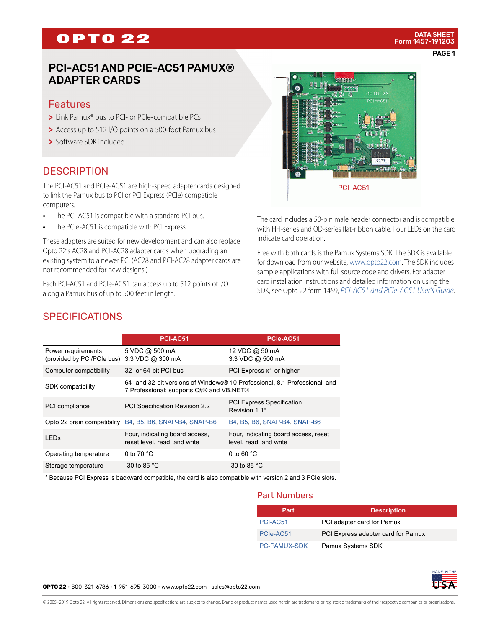# **OPTO 22**

### PCI-AC51 AND PCIE-AC51 PAMUX® ADAPTER CARDS

### Features

- > Link Pamux<sup>®</sup> bus to PCI- or PCIe-compatible PCs
- > Access up to 512 I/O points on a 500-foot Pamux bus
- > Software SDK included

### **DESCRIPTION**

The PCI-AC51 and PCIe-AC51 are high-speed adapter cards designed to link the Pamux bus to PCI or PCI Express (PCIe) compatible computers.

- **•** The PCI-AC51 is compatible with a standard PCI bus.
- **•** The PCIe-AC51 is compatible with PCI Express.

These adapters are suited for new development and can also replace Opto 22's AC28 and PCI-AC28 adapter cards when upgrading an existing system to a newer PC. (AC28 and PCI-AC28 adapter cards are not recommended for new designs.)

Each PCI-AC51 and PCIe-AC51 can access up to 512 points of I/O along a Pamux bus of up to 500 feet in length.



The card includes a 50-pin male header connector and is compatible with HH-series and OD-series flat-ribbon cable. Four LEDs on the card indicate card operation.

Free with both cards is the Pamux Systems SDK. The SDK is available for download from our website, [www.opto22.com](http://www.opto22.com/site/downloads/dl_drilldown.aspx?aid=4315). The SDK includes sample applications with full source code and drivers. For adapter card installation instructions and detailed information on using the SDK, see Opto 22 form 1459, *[PCI-AC51 and PCIe-AC51 User's Guide](http://www.opto22.com/site/documents/doc_drilldown.aspx?aid=1921)*.

### **SPECIFICATIONS**

|                                                  | PCI-AC51                                                                                                               | PCIe-AC51                                                      |  |
|--------------------------------------------------|------------------------------------------------------------------------------------------------------------------------|----------------------------------------------------------------|--|
| Power requirements<br>(provided by PCI/PCIe bus) | 5 VDC @ 500 mA<br>3.3 VDC @ 300 mA                                                                                     | 12 VDC @ 50 mA<br>3.3 VDC @ 500 mA                             |  |
| Computer compatibility                           | 32- or 64-bit PCI bus                                                                                                  | PCI Express x1 or higher                                       |  |
| <b>SDK</b> compatibility                         | 64- and 32-bit versions of Windows® 10 Professional, 8.1 Professional, and<br>7 Professional; supports C#® and VB.NET® |                                                                |  |
| PCI compliance                                   | PCI Specification Revision 2.2                                                                                         | <b>PCI Express Specification</b><br>Revision 1 1*              |  |
|                                                  | Opto 22 brain compatibility B4, B5, B6, SNAP-B4, SNAP-B6                                                               | B4, B5, B6, SNAP-B4, SNAP-B6                                   |  |
| I FD <sub>S</sub>                                | Four, indicating board access,<br>reset level, read, and write                                                         | Four, indicating board access, reset<br>level, read, and write |  |
| Operating temperature                            | 0 to $70 °C$                                                                                                           | 0 to 60 $^{\circ}$ C                                           |  |
| Storage temperature                              | -30 to 85 $^{\circ}$ C                                                                                                 | -30 to 85 $^{\circ}$ C                                         |  |

\* Because PCI Express is backward compatible, the card is also compatible with version 2 and 3 PCIe slots.

#### Part Numbers

| Part                | <b>Description</b>                 |
|---------------------|------------------------------------|
| PCI-AC51            | PCI adapter card for Pamux         |
| PCIe-AC51           | PCI Express adapter card for Pamux |
| <b>PC-PAMUX-SDK</b> | Pamux Systems SDK                  |

**OPTO 22** • 800-321-6786 • 1-951-695-3000 • www.opto22.com • sales@opto22.com

© 2005–2019 Opto 22. All rights reserved. Dimensions and specifications are subject to change. Brand or product names used herein are trademarks or registered trademarks of their respective companies or organizations.